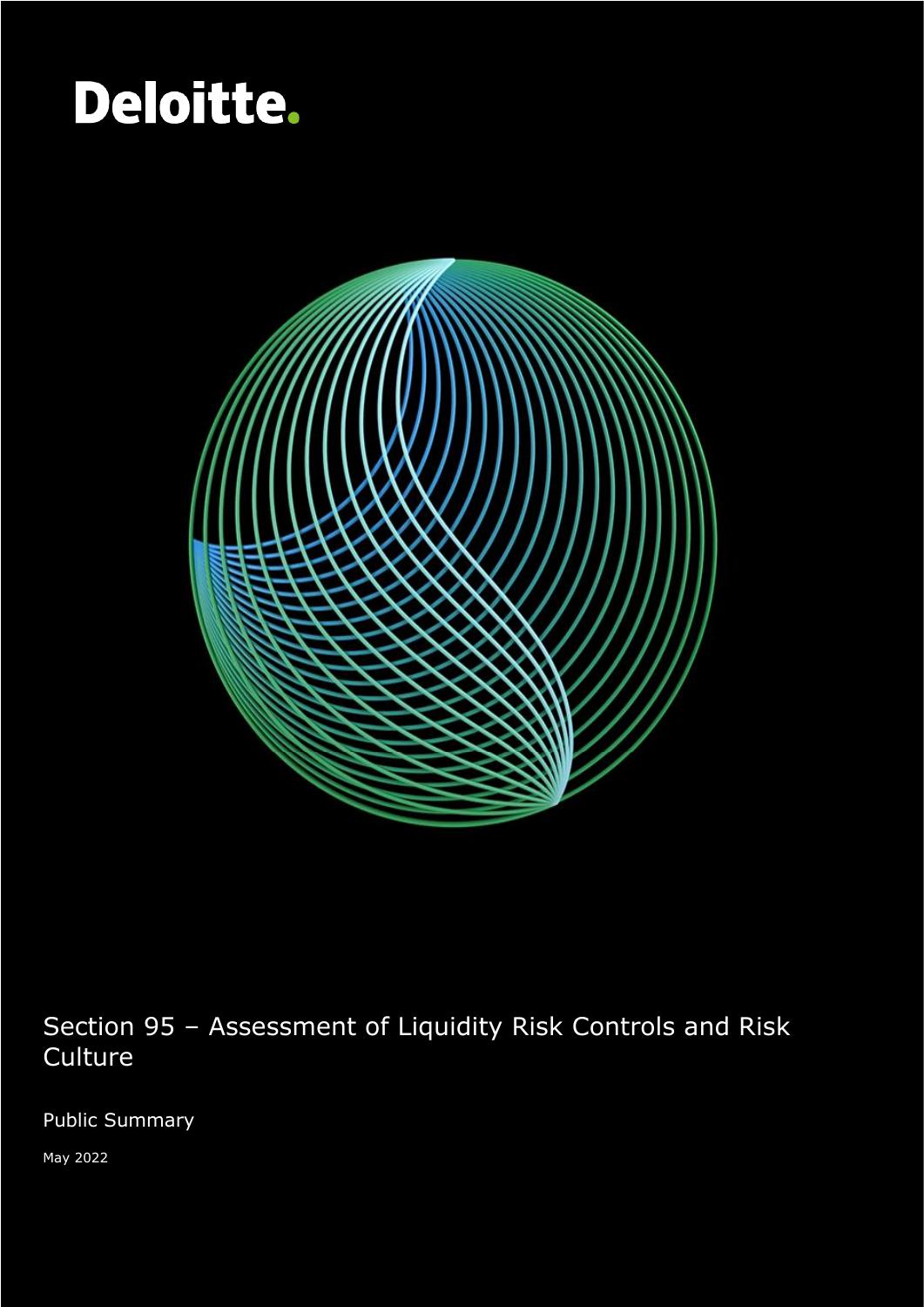# Deloitte.

Section 95 – Assessment of Liquidity Risk Controls and Risk Culture



Section 95 – Assessment of Liquidity Risk Controls and Risk **Culture** 

Public Summary

May 2022

1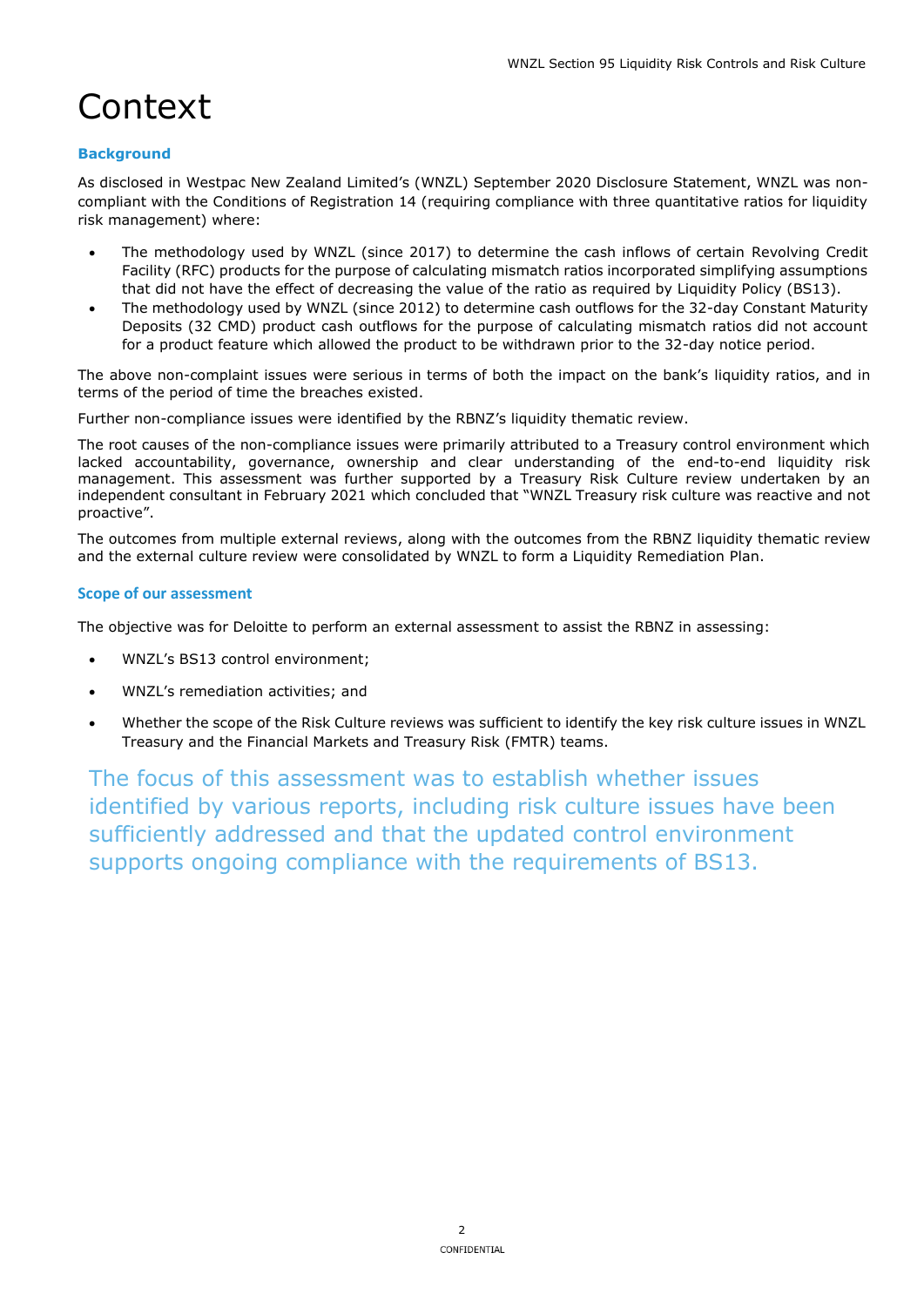# Context

#### **Background**

As disclosed in Westpac New Zealand Limited's (WNZL) September 2020 Disclosure Statement, WNZL was noncompliant with the Conditions of Registration 14 (requiring compliance with three quantitative ratios for liquidity risk management) where:

- The methodology used by WNZL (since 2017) to determine the cash inflows of certain Revolving Credit Facility (RFC) products for the purpose of calculating mismatch ratios incorporated simplifying assumptions that did not have the effect of decreasing the value of the ratio as required by Liquidity Policy (BS13).
- The methodology used by WNZL (since 2012) to determine cash outflows for the 32-day Constant Maturity Deposits (32 CMD) product cash outflows for the purpose of calculating mismatch ratios did not account for a product feature which allowed the product to be withdrawn prior to the 32-day notice period.

The above non-complaint issues were serious in terms of both the impact on the bank's liquidity ratios, and in terms of the period of time the breaches existed.

Further non-compliance issues were identified by the RBNZ's liquidity thematic review.

The root causes of the non-compliance issues were primarily attributed to a Treasury control environment which lacked accountability, governance, ownership and clear understanding of the end-to-end liquidity risk management. This assessment was further supported by a Treasury Risk Culture review undertaken by an independent consultant in February 2021 which concluded that "WNZL Treasury risk culture was reactive and not proactive".

The outcomes from multiple external reviews, along with the outcomes from the RBNZ liquidity thematic review and the external culture review were consolidated by WNZL to form a Liquidity Remediation Plan.

#### **Scope of our assessment**

The objective was for Deloitte to perform an external assessment to assist the RBNZ in assessing:

- WNZL's BS13 control environment;
- WNZL's remediation activities; and
- Whether the scope of the Risk Culture reviews was sufficient to identify the key risk culture issues in WNZL Treasury and the Financial Markets and Treasury Risk (FMTR) teams.

The focus of this assessment was to establish whether issues identified by various reports, including risk culture issues have been sufficiently addressed and that the updated control environment supports ongoing compliance with the requirements of BS13.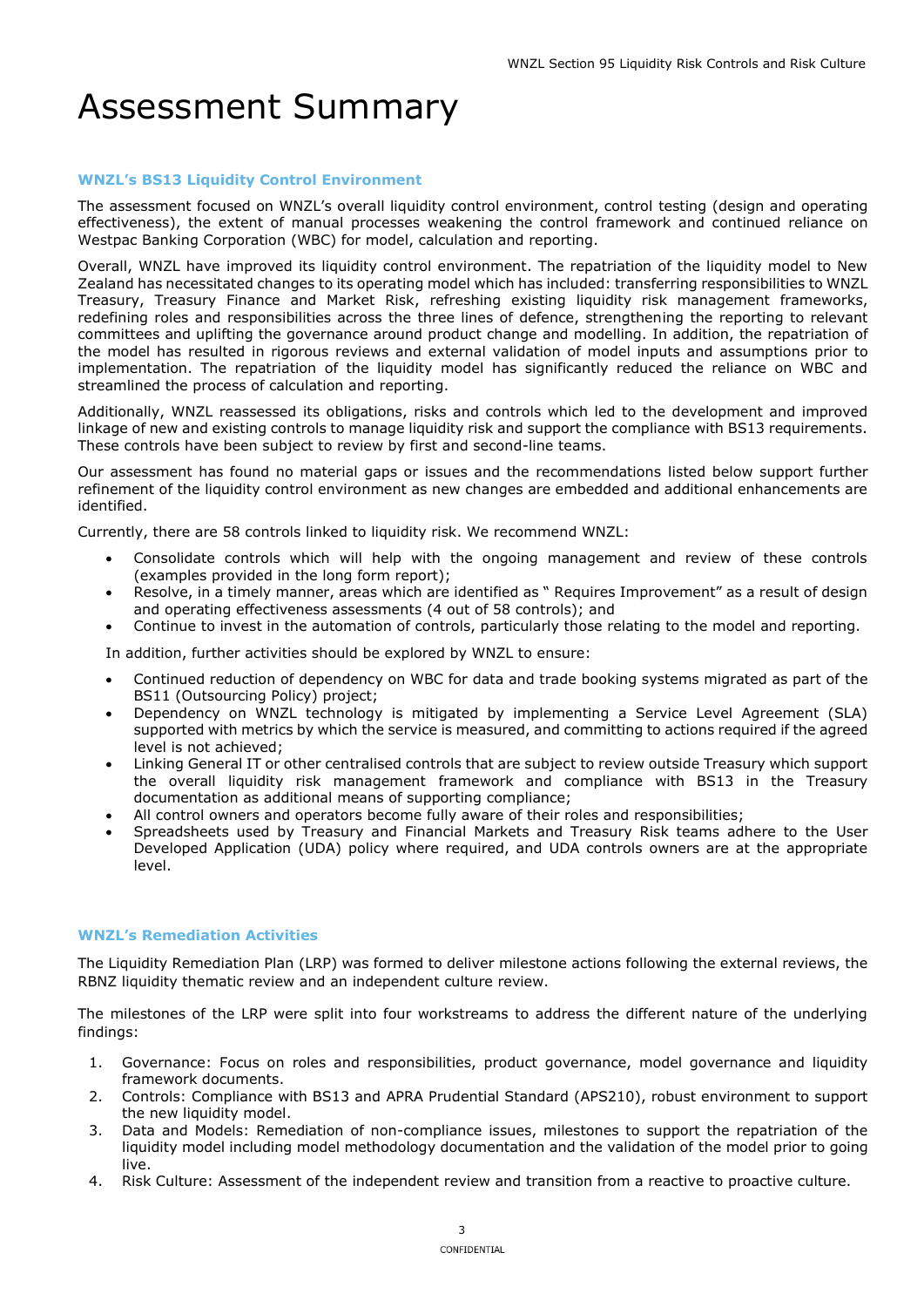## Assessment Summary

#### **WNZL's BS13 Liquidity Control Environment**

The assessment focused on WNZL's overall liquidity control environment, control testing (design and operating effectiveness), the extent of manual processes weakening the control framework and continued reliance on Westpac Banking Corporation (WBC) for model, calculation and reporting.

Overall, WNZL have improved its liquidity control environment. The repatriation of the liquidity model to New Zealand has necessitated changes to its operating model which has included: transferring responsibilities to WNZL Treasury, Treasury Finance and Market Risk, refreshing existing liquidity risk management frameworks, redefining roles and responsibilities across the three lines of defence, strengthening the reporting to relevant committees and uplifting the governance around product change and modelling. In addition, the repatriation of the model has resulted in rigorous reviews and external validation of model inputs and assumptions prior to implementation. The repatriation of the liquidity model has significantly reduced the reliance on WBC and streamlined the process of calculation and reporting.

Additionally, WNZL reassessed its obligations, risks and controls which led to the development and improved linkage of new and existing controls to manage liquidity risk and support the compliance with BS13 requirements. These controls have been subject to review by first and second-line teams.

Our assessment has found no material gaps or issues and the recommendations listed below support further refinement of the liquidity control environment as new changes are embedded and additional enhancements are identified.

Currently, there are 58 controls linked to liquidity risk. We recommend WNZL:

- Consolidate controls which will help with the ongoing management and review of these controls (examples provided in the long form report);
- Resolve, in a timely manner, areas which are identified as " Requires Improvement" as a result of design and operating effectiveness assessments (4 out of 58 controls); and
- Continue to invest in the automation of controls, particularly those relating to the model and reporting.

In addition, further activities should be explored by WNZL to ensure:

- Continued reduction of dependency on WBC for data and trade booking systems migrated as part of the BS11 (Outsourcing Policy) project;
- Dependency on WNZL technology is mitigated by implementing a Service Level Agreement (SLA) supported with metrics by which the service is measured, and committing to actions required if the agreed level is not achieved;
- Linking General IT or other centralised controls that are subject to review outside Treasury which support the overall liquidity risk management framework and compliance with BS13 in the Treasury documentation as additional means of supporting compliance;
- All control owners and operators become fully aware of their roles and responsibilities;
- Spreadsheets used by Treasury and Financial Markets and Treasury Risk teams adhere to the User Developed Application (UDA) policy where required, and UDA controls owners are at the appropriate level.

#### **WNZL's Remediation Activities**

The Liquidity Remediation Plan (LRP) was formed to deliver milestone actions following the external reviews, the RBNZ liquidity thematic review and an independent culture review.

The milestones of the LRP were split into four workstreams to address the different nature of the underlying findings:

- 1. Governance: Focus on roles and responsibilities, product governance, model governance and liquidity framework documents.
- 2. Controls: Compliance with BS13 and APRA Prudential Standard (APS210), robust environment to support the new liquidity model.
- 3. Data and Models: Remediation of non-compliance issues, milestones to support the repatriation of the liquidity model including model methodology documentation and the validation of the model prior to going live.
- 4. Risk Culture: Assessment of the independent review and transition from a reactive to proactive culture.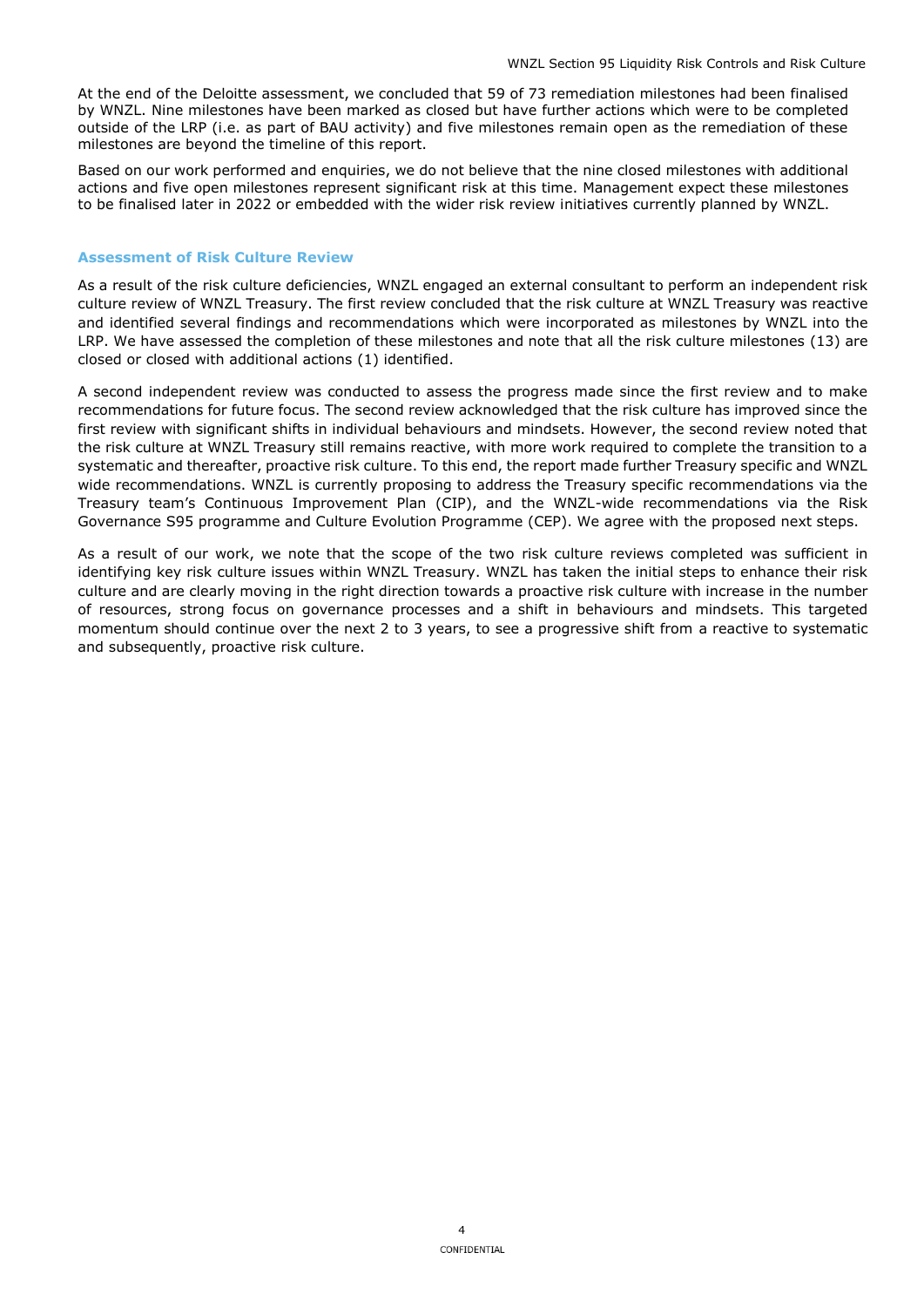At the end of the Deloitte assessment, we concluded that 59 of 73 remediation milestones had been finalised by WNZL. Nine milestones have been marked as closed but have further actions which were to be completed outside of the LRP (i.e. as part of BAU activity) and five milestones remain open as the remediation of these milestones are beyond the timeline of this report.

Based on our work performed and enquiries, we do not believe that the nine closed milestones with additional actions and five open milestones represent significant risk at this time. Management expect these milestones to be finalised later in 2022 or embedded with the wider risk review initiatives currently planned by WNZL.

#### **Assessment of Risk Culture Review**

As a result of the risk culture deficiencies, WNZL engaged an external consultant to perform an independent risk culture review of WNZL Treasury. The first review concluded that the risk culture at WNZL Treasury was reactive and identified several findings and recommendations which were incorporated as milestones by WNZL into the LRP. We have assessed the completion of these milestones and note that all the risk culture milestones (13) are closed or closed with additional actions (1) identified.

A second independent review was conducted to assess the progress made since the first review and to make recommendations for future focus. The second review acknowledged that the risk culture has improved since the first review with significant shifts in individual behaviours and mindsets. However, the second review noted that the risk culture at WNZL Treasury still remains reactive, with more work required to complete the transition to a systematic and thereafter, proactive risk culture. To this end, the report made further Treasury specific and WNZL wide recommendations. WNZL is currently proposing to address the Treasury specific recommendations via the Treasury team's Continuous Improvement Plan (CIP), and the WNZL-wide recommendations via the Risk Governance S95 programme and Culture Evolution Programme (CEP). We agree with the proposed next steps.

As a result of our work, we note that the scope of the two risk culture reviews completed was sufficient in identifying key risk culture issues within WNZL Treasury. WNZL has taken the initial steps to enhance their risk culture and are clearly moving in the right direction towards a proactive risk culture with increase in the number of resources, strong focus on governance processes and a shift in behaviours and mindsets. This targeted momentum should continue over the next 2 to 3 years, to see a progressive shift from a reactive to systematic and subsequently, proactive risk culture.